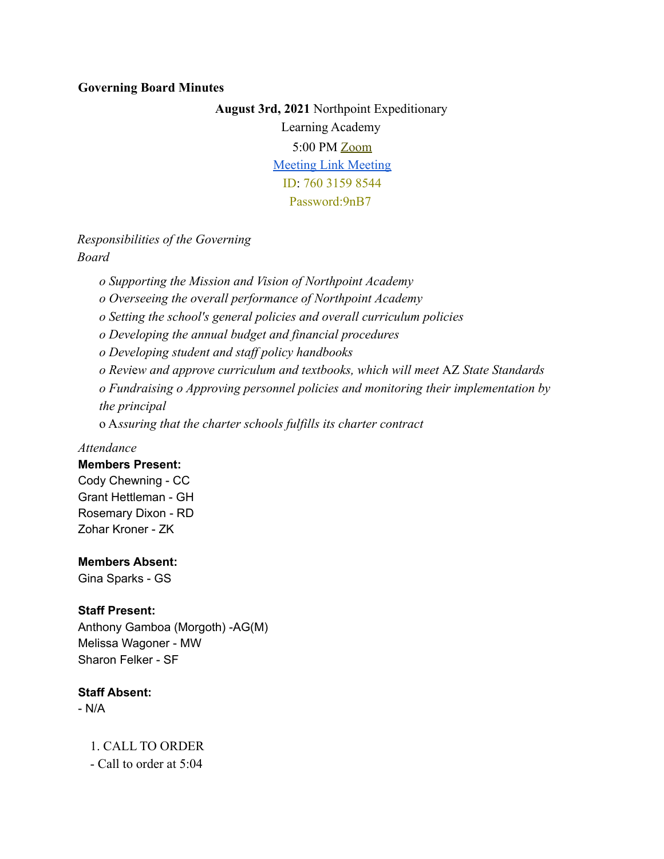#### **Governing Board Minutes**

**August 3rd, 2021** Northpoint Expeditionary Learning Academy 5:00 PM Zoom [Meeting Link Meeting](https://us04web.zoom.us/j/76031598544?pwd=L041eFJ0b3hNYmpFcnhYMHVJWkd0dz09) ID: 760 3159 8544 Password:9nB7

# *Responsibilities of the Governing Board*

*o Supporting the Mission and Vision of Northpoint Academy*

*o Overseeing the o*v*erall performance of Northpoint Academy*

*o Setting the school's general policies and overall curriculum policies*

*o Developing the annual budget and financial procedures*

*o Developing student and staff policy handbooks*

*o Revi*e*w and approve curriculum and textbooks, which will meet* AZ *State Standards*

*o Fundraising o Approving personnel policies and monitoring their implementation by the principal*

o A*ssuring that the charter schools fulfills its charter contract*

## *Attendance*

#### **Members Present:**

Cody Chewning - CC Grant Hettleman - GH Rosemary Dixon - RD Zohar Kroner - ZK

#### **Members Absent:**

Gina Sparks - GS

#### **Staff Present:**

Anthony Gamboa (Morgoth) -AG(M) Melissa Wagoner - MW Sharon Felker - SF

## **Staff Absent:**

- N/A

1. CALL TO ORDER - Call to order at 5:04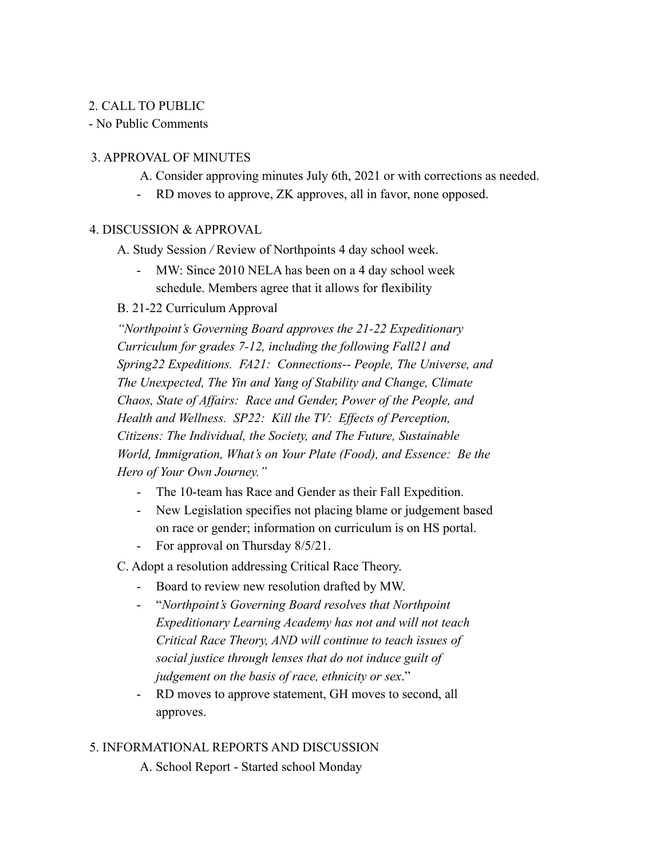## 2. CALL TO PUBLIC

- No Public Comments

## 3. APPROVAL OF MINUTES

- A. Consider approving minutes July 6th, 2021 or with corrections as needed.
- RD moves to approve, ZK approves, all in favor, none opposed.

#### 4. DISCUSSION & APPROVAL

- A. Study Session */* Review of Northpoints 4 day school week.
	- MW: Since 2010 NELA has been on a 4 day school week schedule. Members agree that it allows for flexibility

## B. 21-22 Curriculum Approval

*"Northpoint's Governing Board approves the 21-22 Expeditionary Curriculum for grades 7-12, including the following Fall21 and Spring22 Expeditions. FA21: Connections-- People, The Universe, and The Unexpected, The Yin and Yang of Stability and Change, Climate Chaos, State of Affairs: Race and Gender, Power of the People, and Health and Wellness. SP22: Kill the TV: Effects of Perception, Citizens: The Individual, the Society, and The Future, Sustainable World, Immigration, What's on Your Plate (Food), and Essence: Be the Hero of Your Own Journey."*

- The 10-team has Race and Gender as their Fall Expedition.
- New Legislation specifies not placing blame or judgement based on race or gender; information on curriculum is on HS portal.
- For approval on Thursday 8/5/21.

C. Adopt a resolution addressing Critical Race Theory.

- Board to review new resolution drafted by MW.
- "*Northpoint's Governing Board resolves that Northpoint Expeditionary Learning Academy has not and will not teach Critical Race Theory, AND will continue to teach issues of social justice through lenses that do not induce guilt of judgement on the basis of race, ethnicity or sex*."
- RD moves to approve statement, GH moves to second, all approves.

## 5. INFORMATIONAL REPORTS AND DISCUSSION

A. School Report - Started school Monday